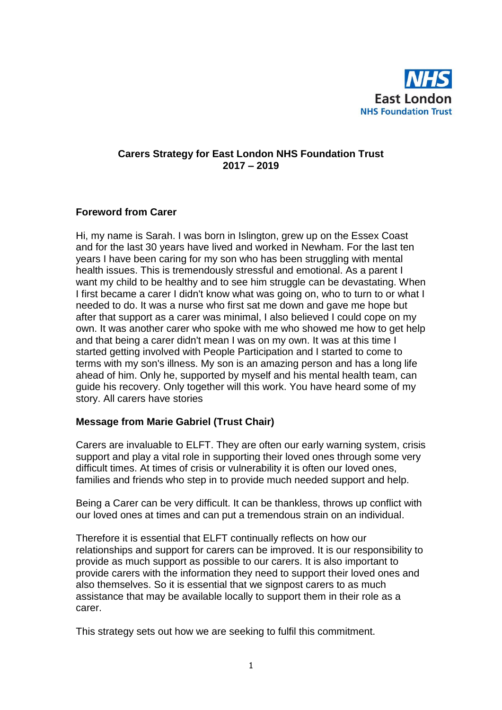

### **Carers Strategy for East London NHS Foundation Trust 2017 – 2019**

#### **Foreword from Carer**

Hi, my name is Sarah. I was born in Islington, grew up on the Essex Coast and for the last 30 years have lived and worked in Newham. For the last ten years I have been caring for my son who has been struggling with mental health issues. This is tremendously stressful and emotional. As a parent I want my child to be healthy and to see him struggle can be devastating. When I first became a carer I didn't know what was going on, who to turn to or what I needed to do. It was a nurse who first sat me down and gave me hope but after that support as a carer was minimal, I also believed I could cope on my own. It was another carer who spoke with me who showed me how to get help and that being a carer didn't mean I was on my own. It was at this time I started getting involved with People Participation and I started to come to terms with my son's illness. My son is an amazing person and has a long life ahead of him. Only he, supported by myself and his mental health team, can guide his recovery. Only together will this work. You have heard some of my story. All carers have stories

#### **Message from Marie Gabriel (Trust Chair)**

Carers are invaluable to ELFT. They are often our early warning system, crisis support and play a vital role in supporting their loved ones through some very difficult times. At times of crisis or vulnerability it is often our loved ones, families and friends who step in to provide much needed support and help.

Being a Carer can be very difficult. It can be thankless, throws up conflict with our loved ones at times and can put a tremendous strain on an individual.

Therefore it is essential that ELFT continually reflects on how our relationships and support for carers can be improved. It is our responsibility to provide as much support as possible to our carers. It is also important to provide carers with the information they need to support their loved ones and also themselves. So it is essential that we signpost carers to as much assistance that may be available locally to support them in their role as a carer.

This strategy sets out how we are seeking to fulfil this commitment.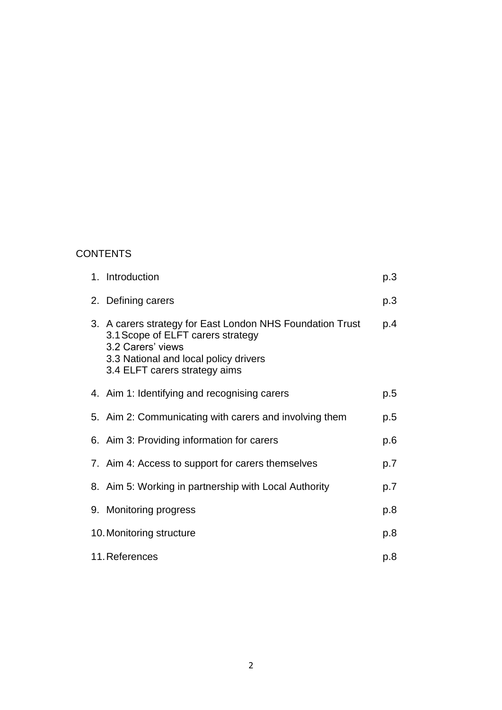## **CONTENTS**

|                                 | 1. Introduction                                                                                                                                                                               | p.3 |
|---------------------------------|-----------------------------------------------------------------------------------------------------------------------------------------------------------------------------------------------|-----|
|                                 | 2. Defining carers                                                                                                                                                                            | p.3 |
|                                 | 3. A carers strategy for East London NHS Foundation Trust<br>3.1 Scope of ELFT carers strategy<br>3.2 Carers' views<br>3.3 National and local policy drivers<br>3.4 ELFT carers strategy aims | p.4 |
|                                 | 4. Aim 1: Identifying and recognising carers                                                                                                                                                  | p.5 |
|                                 | 5. Aim 2: Communicating with carers and involving them                                                                                                                                        | p.5 |
|                                 | 6. Aim 3: Providing information for carers                                                                                                                                                    | p.6 |
|                                 | 7. Aim 4: Access to support for carers themselves                                                                                                                                             | p.7 |
|                                 | 8. Aim 5: Working in partnership with Local Authority                                                                                                                                         | p.7 |
|                                 | 9. Monitoring progress                                                                                                                                                                        | p.8 |
| 10. Monitoring structure<br>p.8 |                                                                                                                                                                                               |     |
| 11. References<br>p.8           |                                                                                                                                                                                               |     |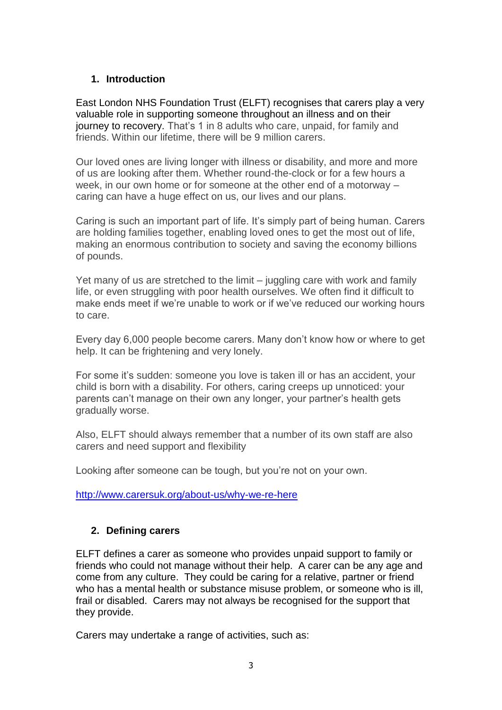## **1. Introduction**

East London NHS Foundation Trust (ELFT) recognises that carers play a very valuable role in supporting someone throughout an illness and on their journey to recovery. That's 1 in 8 adults who care, unpaid, for family and friends. Within our lifetime, there will be 9 million carers.

Our loved ones are living longer with illness or disability, and more and more of us are looking after them. Whether round-the-clock or for a few hours a week, in our own home or for someone at the other end of a motorway – caring can have a huge effect on us, our lives and our plans.

Caring is such an important part of life. It's simply part of being human. Carers are holding families together, enabling loved ones to get the most out of life, making an enormous contribution to society and saving the economy billions of pounds.

Yet many of us are stretched to the limit – juggling care with work and family life, or even struggling with poor health ourselves. We often find it difficult to make ends meet if we're unable to work or if we've reduced our working hours to care.

Every day 6,000 people become carers. Many don't know how or where to get help. It can be frightening and very lonely.

For some it's sudden: someone you love is taken ill or has an accident, your child is born with a disability. For others, caring creeps up unnoticed: your parents can't manage on their own any longer, your partner's health gets gradually worse.

Also, ELFT should always remember that a number of its own staff are also carers and need support and flexibility

Looking after someone can be tough, but you're not on your own.

<http://www.carersuk.org/about-us/why-we-re-here>

### **2. Defining carers**

ELFT defines a carer as someone who provides unpaid support to family or friends who could not manage without their help. A carer can be any age and come from any culture. They could be caring for a relative, partner or friend who has a mental health or substance misuse problem, or someone who is ill, frail or disabled. Carers may not always be recognised for the support that they provide.

Carers may undertake a range of activities, such as: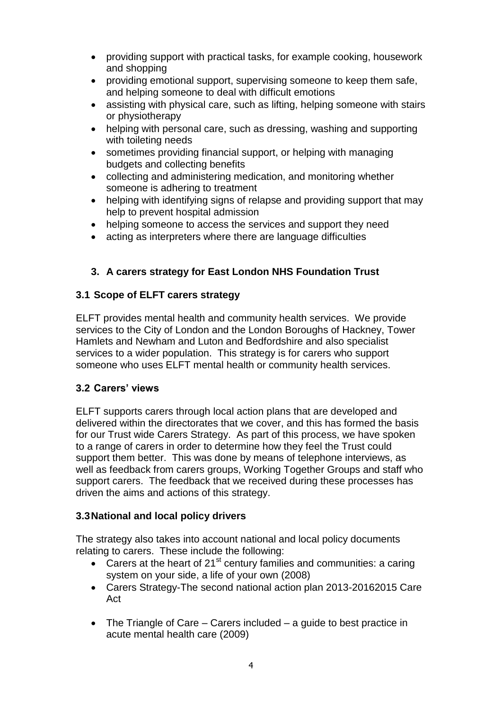- providing support with practical tasks, for example cooking, housework and shopping
- providing emotional support, supervising someone to keep them safe, and helping someone to deal with difficult emotions
- assisting with physical care, such as lifting, helping someone with stairs or physiotherapy
- helping with personal care, such as dressing, washing and supporting with toileting needs
- sometimes providing financial support, or helping with managing budgets and collecting benefits
- collecting and administering medication, and monitoring whether someone is adhering to treatment
- helping with identifying signs of relapse and providing support that may help to prevent hospital admission
- helping someone to access the services and support they need
- acting as interpreters where there are language difficulties

# **3. A carers strategy for East London NHS Foundation Trust**

## **3.1 Scope of ELFT carers strategy**

ELFT provides mental health and community health services. We provide services to the City of London and the London Boroughs of Hackney, Tower Hamlets and Newham and Luton and Bedfordshire and also specialist services to a wider population. This strategy is for carers who support someone who uses ELFT mental health or community health services.

### **3.2 Carers' views**

ELFT supports carers through local action plans that are developed and delivered within the directorates that we cover, and this has formed the basis for our Trust wide Carers Strategy. As part of this process, we have spoken to a range of carers in order to determine how they feel the Trust could support them better. This was done by means of telephone interviews, as well as feedback from carers groups, Working Together Groups and staff who support carers. The feedback that we received during these processes has driven the aims and actions of this strategy.

# **3.3National and local policy drivers**

The strategy also takes into account national and local policy documents relating to carers. These include the following:

- Carers at the heart of  $21^{st}$  century families and communities: a caring system on your side, a life of your own (2008)
- Carers Strategy-The second national action plan 2013-20162015 Care Act
- The Triangle of Care Carers included a quide to best practice in acute mental health care (2009)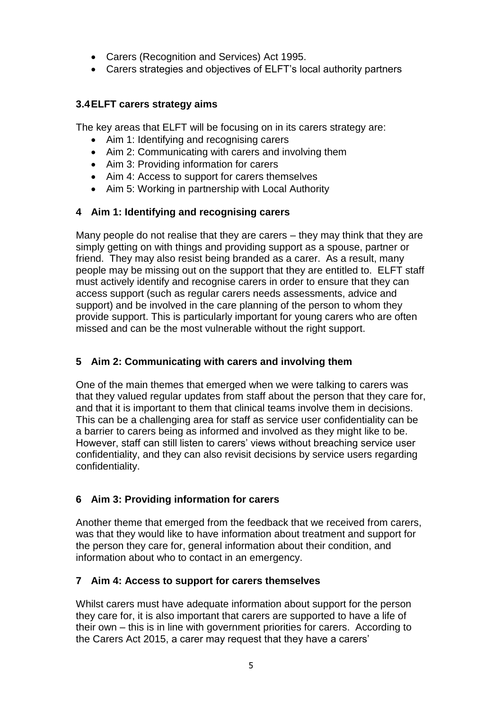- Carers (Recognition and Services) Act 1995.
- Carers strategies and objectives of ELFT's local authority partners

## **3.4ELFT carers strategy aims**

The key areas that ELFT will be focusing on in its carers strategy are:

- Aim 1: Identifying and recognising carers
- Aim 2: Communicating with carers and involving them
- Aim 3: Providing information for carers
- Aim 4: Access to support for carers themselves
- Aim 5: Working in partnership with Local Authority

# **4 Aim 1: Identifying and recognising carers**

Many people do not realise that they are carers – they may think that they are simply getting on with things and providing support as a spouse, partner or friend. They may also resist being branded as a carer. As a result, many people may be missing out on the support that they are entitled to. ELFT staff must actively identify and recognise carers in order to ensure that they can access support (such as regular carers needs assessments, advice and support) and be involved in the care planning of the person to whom they provide support. This is particularly important for young carers who are often missed and can be the most vulnerable without the right support.

# **5 Aim 2: Communicating with carers and involving them**

One of the main themes that emerged when we were talking to carers was that they valued regular updates from staff about the person that they care for, and that it is important to them that clinical teams involve them in decisions. This can be a challenging area for staff as service user confidentiality can be a barrier to carers being as informed and involved as they might like to be. However, staff can still listen to carers' views without breaching service user confidentiality, and they can also revisit decisions by service users regarding confidentiality.

# **6 Aim 3: Providing information for carers**

Another theme that emerged from the feedback that we received from carers, was that they would like to have information about treatment and support for the person they care for, general information about their condition, and information about who to contact in an emergency.

# **7 Aim 4: Access to support for carers themselves**

Whilst carers must have adequate information about support for the person they care for, it is also important that carers are supported to have a life of their own – this is in line with government priorities for carers. According to the Carers Act 2015, a carer may request that they have a carers'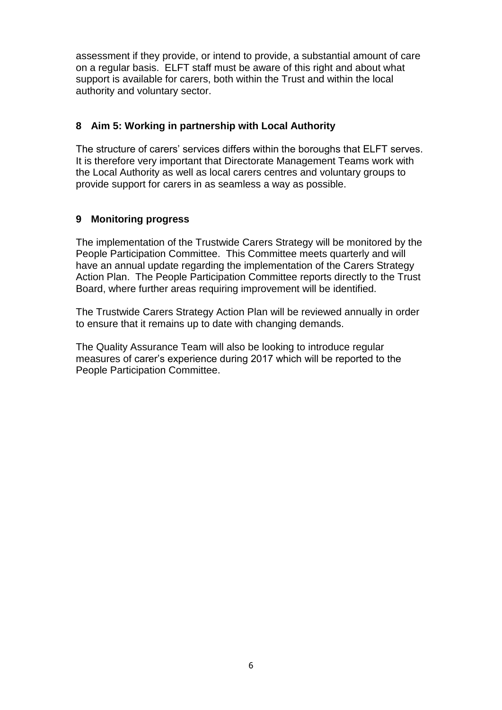assessment if they provide, or intend to provide, a substantial amount of care on a regular basis. ELFT staff must be aware of this right and about what support is available for carers, both within the Trust and within the local authority and voluntary sector.

#### **8 Aim 5: Working in partnership with Local Authority**

The structure of carers' services differs within the boroughs that ELFT serves. It is therefore very important that Directorate Management Teams work with the Local Authority as well as local carers centres and voluntary groups to provide support for carers in as seamless a way as possible.

#### **9 Monitoring progress**

The implementation of the Trustwide Carers Strategy will be monitored by the People Participation Committee. This Committee meets quarterly and will have an annual update regarding the implementation of the Carers Strategy Action Plan. The People Participation Committee reports directly to the Trust Board, where further areas requiring improvement will be identified.

The Trustwide Carers Strategy Action Plan will be reviewed annually in order to ensure that it remains up to date with changing demands.

The Quality Assurance Team will also be looking to introduce regular measures of carer's experience during 2017 which will be reported to the People Participation Committee.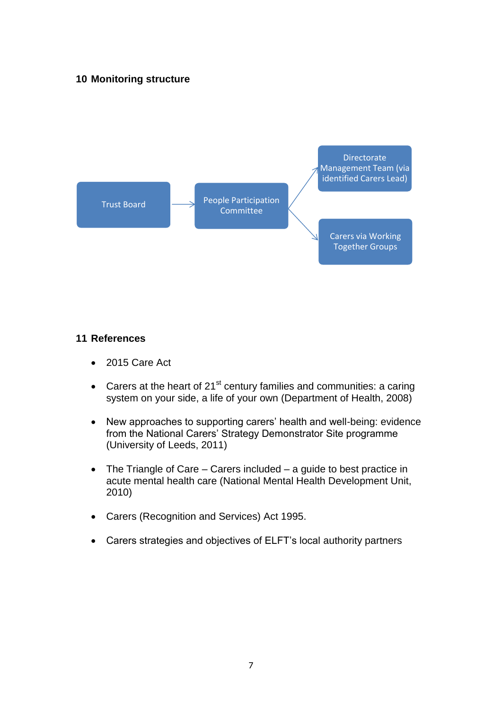### **10 Monitoring structure**



#### **11 References**

- 2015 Care Act
- Carers at the heart of  $21^{st}$  century families and communities: a caring system on your side, a life of your own (Department of Health, 2008)
- New approaches to supporting carers' health and well-being: evidence from the National Carers' Strategy Demonstrator Site programme (University of Leeds, 2011)
- The Triangle of Care Carers included a guide to best practice in acute mental health care (National Mental Health Development Unit, 2010)
- Carers (Recognition and Services) Act 1995.
- Carers strategies and objectives of ELFT's local authority partners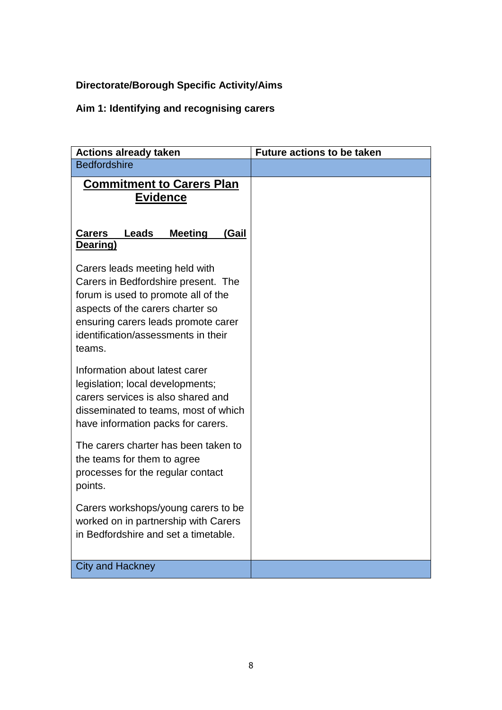# **Directorate/Borough Specific Activity/Aims**

# **Aim 1: Identifying and recognising carers**

| <b>Actions already taken</b>                                                                                                                                                                                                             | <b>Future actions to be taken</b> |
|------------------------------------------------------------------------------------------------------------------------------------------------------------------------------------------------------------------------------------------|-----------------------------------|
| <b>Bedfordshire</b>                                                                                                                                                                                                                      |                                   |
| <b>Commitment to Carers Plan</b><br><b>Evidence</b>                                                                                                                                                                                      |                                   |
| <b>Carers</b><br>Leads<br><b>Meeting</b><br>(Gail<br>Dearing)                                                                                                                                                                            |                                   |
| Carers leads meeting held with<br>Carers in Bedfordshire present. The<br>forum is used to promote all of the<br>aspects of the carers charter so<br>ensuring carers leads promote carer<br>identification/assessments in their<br>teams. |                                   |
| Information about latest carer<br>legislation; local developments;<br>carers services is also shared and<br>disseminated to teams, most of which<br>have information packs for carers.                                                   |                                   |
| The carers charter has been taken to<br>the teams for them to agree<br>processes for the regular contact<br>points.                                                                                                                      |                                   |
| Carers workshops/young carers to be<br>worked on in partnership with Carers<br>in Bedfordshire and set a timetable.                                                                                                                      |                                   |
| <b>City and Hackney</b>                                                                                                                                                                                                                  |                                   |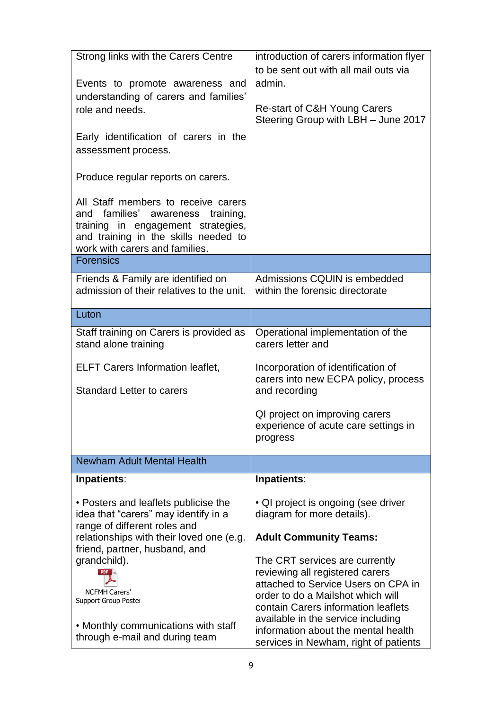| Strong links with the Carers Centre<br>Events to promote awareness and<br>understanding of carers and families'<br>role and needs.<br>Early identification of carers in the<br>assessment process.<br>Produce regular reports on carers.<br>All Staff members to receive carers<br>and families' awareness training,<br>training in engagement strategies,<br>and training in the skills needed to<br>work with carers and families. | introduction of carers information flyer<br>to be sent out with all mail outs via<br>admin.<br>Re-start of C&H Young Carers<br>Steering Group with LBH - June 2017                                                                                                                                         |
|--------------------------------------------------------------------------------------------------------------------------------------------------------------------------------------------------------------------------------------------------------------------------------------------------------------------------------------------------------------------------------------------------------------------------------------|------------------------------------------------------------------------------------------------------------------------------------------------------------------------------------------------------------------------------------------------------------------------------------------------------------|
| <b>Forensics</b>                                                                                                                                                                                                                                                                                                                                                                                                                     |                                                                                                                                                                                                                                                                                                            |
| Friends & Family are identified on<br>admission of their relatives to the unit.                                                                                                                                                                                                                                                                                                                                                      | Admissions CQUIN is embedded<br>within the forensic directorate                                                                                                                                                                                                                                            |
| Luton                                                                                                                                                                                                                                                                                                                                                                                                                                |                                                                                                                                                                                                                                                                                                            |
| Staff training on Carers is provided as<br>stand alone training<br><b>ELFT Carers Information leaflet,</b><br><b>Standard Letter to carers</b>                                                                                                                                                                                                                                                                                       | Operational implementation of the<br>carers letter and<br>Incorporation of identification of<br>carers into new ECPA policy, process<br>and recording                                                                                                                                                      |
|                                                                                                                                                                                                                                                                                                                                                                                                                                      | QI project on improving carers<br>experience of acute care settings in<br>progress                                                                                                                                                                                                                         |
| Newham Adult Mental Health                                                                                                                                                                                                                                                                                                                                                                                                           |                                                                                                                                                                                                                                                                                                            |
| Inpatients:                                                                                                                                                                                                                                                                                                                                                                                                                          | Inpatients:                                                                                                                                                                                                                                                                                                |
| • Posters and leaflets publicise the<br>idea that "carers" may identify in a<br>range of different roles and<br>relationships with their loved one (e.g.<br>friend, partner, husband, and                                                                                                                                                                                                                                            | • QI project is ongoing (see driver<br>diagram for more details).<br><b>Adult Community Teams:</b>                                                                                                                                                                                                         |
| grandchild).<br><b>NCFMH Carers'</b><br>Support Group Poster<br>• Monthly communications with staff<br>through e-mail and during team                                                                                                                                                                                                                                                                                                | The CRT services are currently<br>reviewing all registered carers<br>attached to Service Users on CPA in<br>order to do a Mailshot which will<br>contain Carers information leaflets<br>available in the service including<br>information about the mental health<br>services in Newham, right of patients |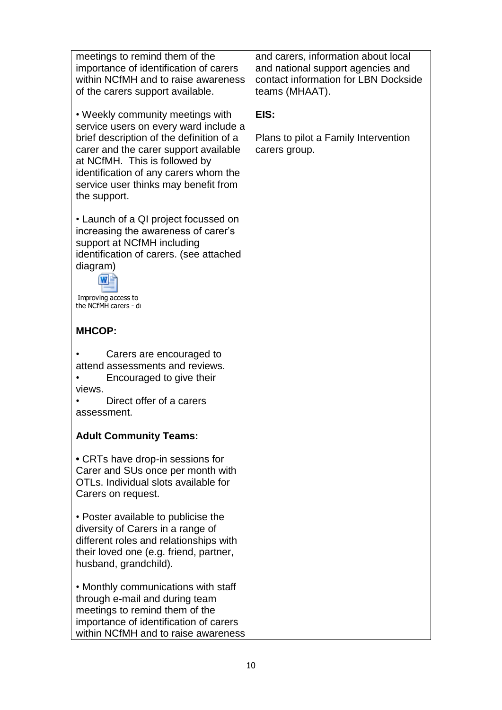| meetings to remind them of the<br>importance of identification of carers<br>within NCfMH and to raise awareness<br>of the carers support available.                                                                                                                                              | and carers, information about local<br>and national support agencies and<br>contact information for LBN Dockside<br>teams (MHAAT). |
|--------------------------------------------------------------------------------------------------------------------------------------------------------------------------------------------------------------------------------------------------------------------------------------------------|------------------------------------------------------------------------------------------------------------------------------------|
| • Weekly community meetings with<br>service users on every ward include a<br>brief description of the definition of a<br>carer and the carer support available<br>at NCfMH. This is followed by<br>identification of any carers whom the<br>service user thinks may benefit from<br>the support. | EIS:<br>Plans to pilot a Family Intervention<br>carers group.                                                                      |
| • Launch of a QI project focussed on<br>increasing the awareness of carer's<br>support at NCfMH including<br>identification of carers. (see attached<br>diagram)<br>Improving access to<br>the NCfMH carers - di                                                                                 |                                                                                                                                    |
| <b>MHCOP:</b>                                                                                                                                                                                                                                                                                    |                                                                                                                                    |
| Carers are encouraged to<br>attend assessments and reviews.<br>Encouraged to give their<br>views.<br>Direct offer of a carers<br>assessment.                                                                                                                                                     |                                                                                                                                    |
| <b>Adult Community Teams:</b>                                                                                                                                                                                                                                                                    |                                                                                                                                    |
| • CRTs have drop-in sessions for<br>Carer and SUs once per month with<br>OTLs. Individual slots available for<br>Carers on request.                                                                                                                                                              |                                                                                                                                    |
| • Poster available to publicise the<br>diversity of Carers in a range of<br>different roles and relationships with<br>their loved one (e.g. friend, partner,<br>husband, grandchild).                                                                                                            |                                                                                                                                    |
| • Monthly communications with staff<br>through e-mail and during team<br>meetings to remind them of the<br>importance of identification of carers<br>within NCfMH and to raise awareness                                                                                                         |                                                                                                                                    |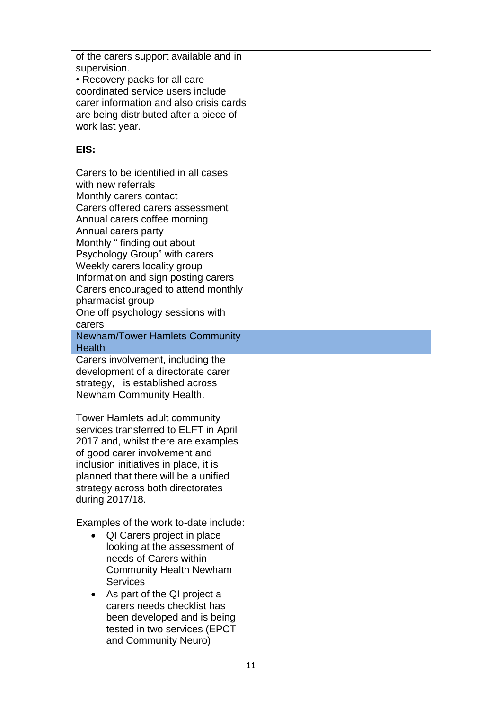| of the carers support available and in<br>supervision.<br>• Recovery packs for all care<br>coordinated service users include<br>carer information and also crisis cards<br>are being distributed after a piece of<br>work last year.                                                                                                                                                                                              |  |
|-----------------------------------------------------------------------------------------------------------------------------------------------------------------------------------------------------------------------------------------------------------------------------------------------------------------------------------------------------------------------------------------------------------------------------------|--|
| EIS:                                                                                                                                                                                                                                                                                                                                                                                                                              |  |
| Carers to be identified in all cases<br>with new referrals<br>Monthly carers contact<br>Carers offered carers assessment<br>Annual carers coffee morning<br>Annual carers party<br>Monthly "finding out about<br>Psychology Group" with carers<br>Weekly carers locality group<br>Information and sign posting carers<br>Carers encouraged to attend monthly<br>pharmacist group<br>One off psychology sessions with<br>carers    |  |
| <b>Newham/Tower Hamlets Community</b><br><b>Health</b>                                                                                                                                                                                                                                                                                                                                                                            |  |
| Carers involvement, including the<br>development of a directorate carer<br>strategy, is established across<br>Newham Community Health.<br>Tower Hamlets adult community<br>services transferred to ELFT in April<br>2017 and, whilst there are examples<br>of good carer involvement and<br>inclusion initiatives in place, it is<br>planned that there will be a unified<br>strategy across both directorates<br>during 2017/18. |  |
| Examples of the work to-date include:<br>QI Carers project in place<br>looking at the assessment of<br>needs of Carers within<br><b>Community Health Newham</b><br><b>Services</b><br>As part of the QI project a<br>carers needs checklist has<br>been developed and is being<br>tested in two services (EPCT<br>and Community Neuro)                                                                                            |  |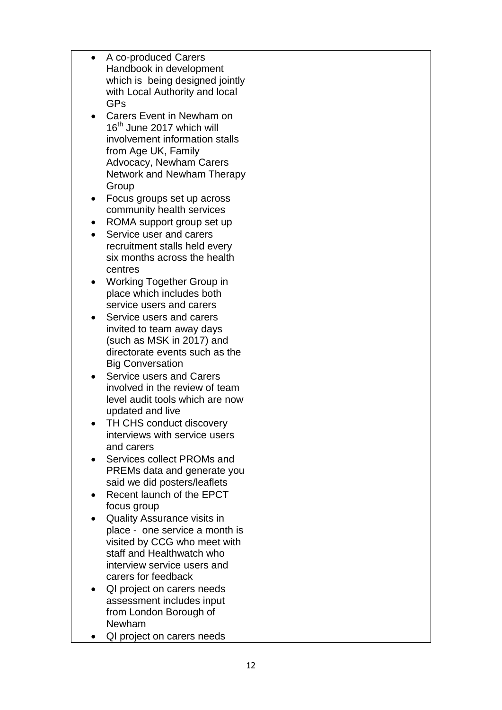|           | A co-produced Carers                  |  |
|-----------|---------------------------------------|--|
|           | Handbook in development               |  |
|           | which is being designed jointly       |  |
|           | with Local Authority and local        |  |
|           | GPs                                   |  |
| $\bullet$ | Carers Event in Newham on             |  |
|           | 16 <sup>th</sup> June 2017 which will |  |
|           | involvement information stalls        |  |
|           |                                       |  |
|           | from Age UK, Family                   |  |
|           | <b>Advocacy, Newham Carers</b>        |  |
|           | Network and Newham Therapy            |  |
|           | Group                                 |  |
| $\bullet$ | Focus groups set up across            |  |
|           | community health services             |  |
|           | ROMA support group set up             |  |
| $\bullet$ | Service user and carers               |  |
|           | recruitment stalls held every         |  |
|           | six months across the health          |  |
|           | centres                               |  |
|           | Working Together Group in             |  |
|           | place which includes both             |  |
|           | service users and carers              |  |
|           | Service users and carers              |  |
|           | invited to team away days             |  |
|           | (such as MSK in 2017) and             |  |
|           | directorate events such as the        |  |
|           | <b>Big Conversation</b>               |  |
| $\bullet$ | <b>Service users and Carers</b>       |  |
|           | involved in the review of team        |  |
|           | level audit tools which are now       |  |
|           | updated and live                      |  |
|           | TH CHS conduct discovery              |  |
|           | interviews with service users         |  |
|           | and carers                            |  |
|           | Services collect PROMs and            |  |
|           | PREMs data and generate you           |  |
|           | said we did posters/leaflets          |  |
|           | Recent launch of the EPCT             |  |
|           | focus group                           |  |
|           | <b>Quality Assurance visits in</b>    |  |
|           | place - one service a month is        |  |
|           | visited by CCG who meet with          |  |
|           | staff and Healthwatch who             |  |
|           | interview service users and           |  |
|           |                                       |  |
|           | carers for feedback                   |  |
|           | QI project on carers needs            |  |
|           | assessment includes input             |  |
|           | from London Borough of                |  |
|           | Newham                                |  |
|           | QI project on carers needs            |  |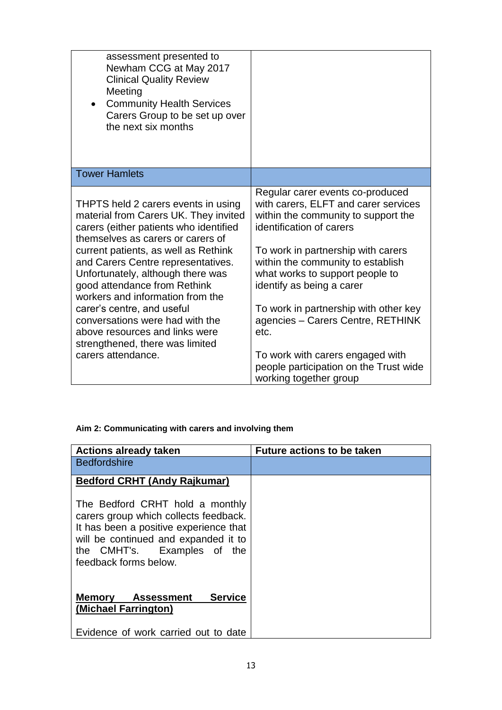| assessment presented to<br>Newham CCG at May 2017<br><b>Clinical Quality Review</b><br>Meeting<br><b>Community Health Services</b><br>$\bullet$<br>Carers Group to be set up over<br>the next six months                                                                                                                                                                                                                                                                                                       |                                                                                                                                                                                                                                                                                                                                                                                                                                                                                      |
|----------------------------------------------------------------------------------------------------------------------------------------------------------------------------------------------------------------------------------------------------------------------------------------------------------------------------------------------------------------------------------------------------------------------------------------------------------------------------------------------------------------|--------------------------------------------------------------------------------------------------------------------------------------------------------------------------------------------------------------------------------------------------------------------------------------------------------------------------------------------------------------------------------------------------------------------------------------------------------------------------------------|
| <b>Tower Hamlets</b>                                                                                                                                                                                                                                                                                                                                                                                                                                                                                           |                                                                                                                                                                                                                                                                                                                                                                                                                                                                                      |
| THPTS held 2 carers events in using<br>material from Carers UK. They invited<br>carers (either patients who identified<br>themselves as carers or carers of<br>current patients, as well as Rethink<br>and Carers Centre representatives.<br>Unfortunately, although there was<br>good attendance from Rethink<br>workers and information from the<br>carer's centre, and useful<br>conversations were had with the<br>above resources and links were<br>strengthened, there was limited<br>carers attendance. | Regular carer events co-produced<br>with carers, ELFT and carer services<br>within the community to support the<br>identification of carers<br>To work in partnership with carers<br>within the community to establish<br>what works to support people to<br>identify as being a carer<br>To work in partnership with other key<br>agencies - Carers Centre, RETHINK<br>etc.<br>To work with carers engaged with<br>people participation on the Trust wide<br>working together group |

### **Aim 2: Communicating with carers and involving them**

| <b>Actions already taken</b>                                                                                                                                                                                       | <b>Future actions to be taken</b> |
|--------------------------------------------------------------------------------------------------------------------------------------------------------------------------------------------------------------------|-----------------------------------|
| <b>Bedfordshire</b>                                                                                                                                                                                                |                                   |
| <b>Bedford CRHT (Andy Rajkumar)</b>                                                                                                                                                                                |                                   |
| The Bedford CRHT hold a monthly<br>carers group which collects feedback.<br>It has been a positive experience that<br>will be continued and expanded it to<br>the CMHT's. Examples of the<br>feedback forms below. |                                   |
| <b>Service</b><br>Assessment<br><b>Memory</b><br>(Michael Farrington)                                                                                                                                              |                                   |
| Evidence of work carried out to date                                                                                                                                                                               |                                   |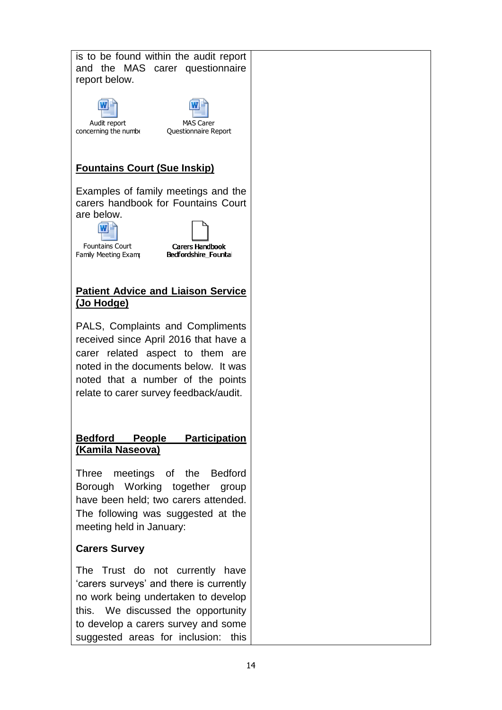| is to be found within the audit report<br>and the MAS carer questionnaire<br>report below.                                                                                                                                                  |  |
|---------------------------------------------------------------------------------------------------------------------------------------------------------------------------------------------------------------------------------------------|--|
| <b>MAS Carer</b><br>Audit report<br>concerning the numbe<br>Questionnaire Report                                                                                                                                                            |  |
| <b>Fountains Court (Sue Inskip)</b>                                                                                                                                                                                                         |  |
| Examples of family meetings and the<br>carers handbook for Fountains Court<br>are below.<br><b>Fountains Court</b><br><b>Carers Handbook</b><br>Family Meeting Exam<br>Bedfordshire Fountai                                                 |  |
| <b>Patient Advice and Liaison Service</b><br><u>(Jo Hodge)</u>                                                                                                                                                                              |  |
| PALS, Complaints and Compliments<br>received since April 2016 that have a<br>carer related aspect to them are<br>noted in the documents below. It was<br>noted that a number of the points<br>relate to carer survey feedback/audit.        |  |
| <b>Participation</b><br><b>Bedford</b><br><b>People</b><br>(Kamila Naseova)                                                                                                                                                                 |  |
| meetings of the Bedford<br>Three<br>Borough Working together<br>group<br>have been held; two carers attended.<br>The following was suggested at the<br>meeting held in January:                                                             |  |
| <b>Carers Survey</b>                                                                                                                                                                                                                        |  |
| The Trust do not currently<br>have<br>'carers surveys' and there is currently<br>no work being undertaken to develop<br>this. We discussed the opportunity<br>to develop a carers survey and some<br>suggested areas for inclusion:<br>this |  |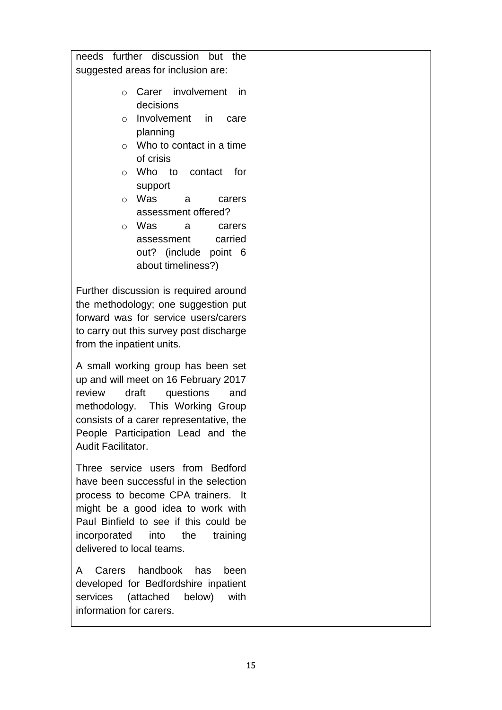|                                       | needs further discussion<br>but<br>the  |  |
|---------------------------------------|-----------------------------------------|--|
|                                       | suggested areas for inclusion are:      |  |
|                                       |                                         |  |
| $\circ$                               | Carer involvement<br><i>in</i>          |  |
|                                       | decisions                               |  |
| $\circ$                               | Involvement<br>in in<br>care            |  |
|                                       | planning                                |  |
|                                       |                                         |  |
| O                                     | Who to contact in a time                |  |
|                                       | of crisis                               |  |
| O                                     | Who to contact<br>for                   |  |
|                                       | support                                 |  |
| $\circ$                               | Was<br>a<br>carers                      |  |
|                                       | assessment offered?                     |  |
| $\circ$                               | Was<br>a<br>carers                      |  |
|                                       | carried<br>assessment                   |  |
|                                       | out? (include point 6                   |  |
|                                       | about timeliness?)                      |  |
|                                       |                                         |  |
|                                       | Further discussion is required around   |  |
|                                       | the methodology; one suggestion put     |  |
|                                       | forward was for service users/carers    |  |
|                                       | to carry out this survey post discharge |  |
|                                       |                                         |  |
| from the inpatient units.             |                                         |  |
|                                       | A small working group has been set      |  |
|                                       | up and will meet on 16 February 2017    |  |
| review                                | draft<br>questions<br>and               |  |
|                                       | methodology. This Working Group         |  |
|                                       | consists of a carer representative, the |  |
|                                       | People Participation Lead and the       |  |
|                                       |                                         |  |
| Audit Facilitator.                    |                                         |  |
|                                       | Three service users from Bedford        |  |
| have been successful in the selection |                                         |  |
|                                       | process to become CPA trainers. It      |  |
| might be a good idea to work with     |                                         |  |
| Paul Binfield to see if this could be |                                         |  |
| incorporated into                     | the<br>training                         |  |
| delivered to local teams.             |                                         |  |
|                                       |                                         |  |
| A                                     | Carers handbook<br>has<br>been          |  |
|                                       | developed for Bedfordshire inpatient    |  |
| services                              | with<br>(attached<br>below)             |  |
| information for carers.               |                                         |  |
|                                       |                                         |  |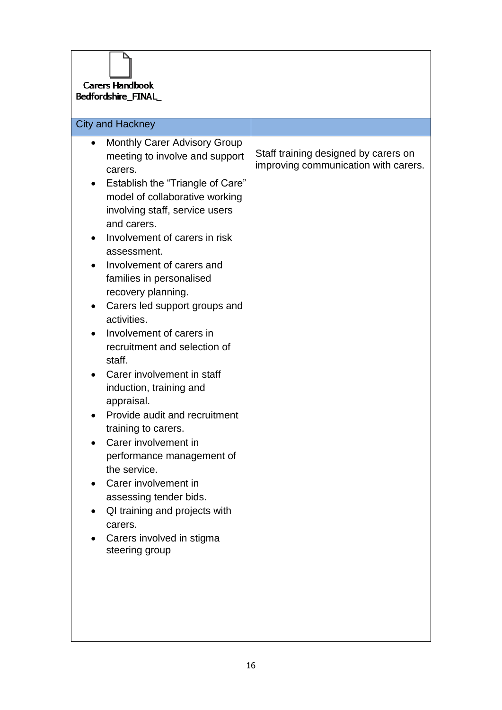| <b>Carers Handbook</b><br>Bedfordshire_FINAL                                                                                                                                                                                                                                                                                                                                                                                                                                                                                                                                                                                                                                                                                                                                                                                            |                                                                              |
|-----------------------------------------------------------------------------------------------------------------------------------------------------------------------------------------------------------------------------------------------------------------------------------------------------------------------------------------------------------------------------------------------------------------------------------------------------------------------------------------------------------------------------------------------------------------------------------------------------------------------------------------------------------------------------------------------------------------------------------------------------------------------------------------------------------------------------------------|------------------------------------------------------------------------------|
| <b>City and Hackney</b>                                                                                                                                                                                                                                                                                                                                                                                                                                                                                                                                                                                                                                                                                                                                                                                                                 |                                                                              |
| <b>Monthly Carer Advisory Group</b><br>meeting to involve and support<br>carers.<br>Establish the "Triangle of Care"<br>$\bullet$<br>model of collaborative working<br>involving staff, service users<br>and carers.<br>Involvement of carers in risk<br>assessment.<br>Involvement of carers and<br>families in personalised<br>recovery planning.<br>Carers led support groups and<br>$\bullet$<br>activities.<br>Involvement of carers in<br>recruitment and selection of<br>staff.<br>Carer involvement in staff<br>induction, training and<br>appraisal.<br>Provide audit and recruitment<br>training to carers.<br>Carer involvement in<br>performance management of<br>the service.<br>Carer involvement in<br>assessing tender bids.<br>QI training and projects with<br>carers.<br>Carers involved in stigma<br>steering group | Staff training designed by carers on<br>improving communication with carers. |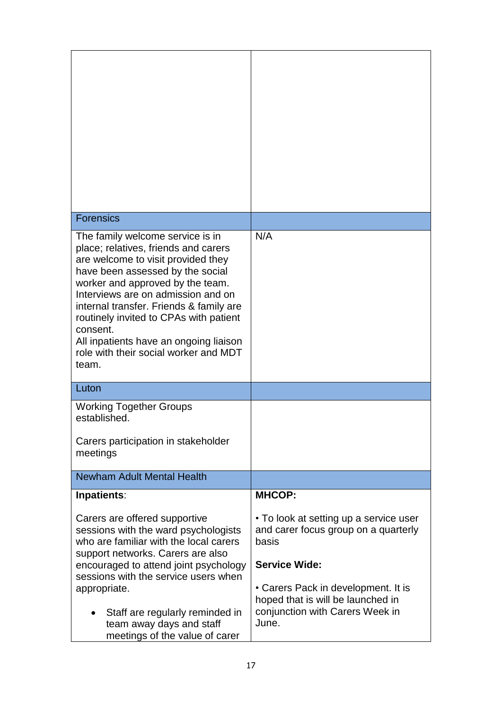| N/A                                                                                                                  |
|----------------------------------------------------------------------------------------------------------------------|
|                                                                                                                      |
|                                                                                                                      |
|                                                                                                                      |
| <b>MHCOP:</b>                                                                                                        |
| • To look at setting up a service user<br>and carer focus group on a quarterly<br>basis                              |
| <b>Service Wide:</b>                                                                                                 |
| • Carers Pack in development. It is<br>hoped that is will be launched in<br>conjunction with Carers Week in<br>June. |
|                                                                                                                      |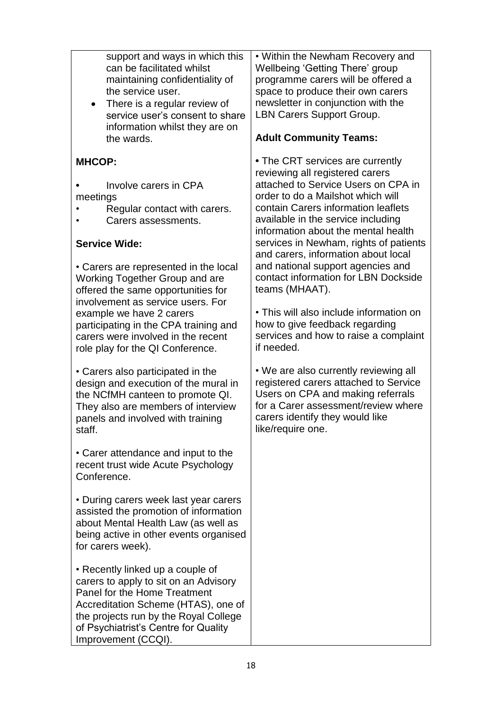| support and ways in which this<br>can be facilitated whilst<br>maintaining confidentiality of<br>the service user.<br>There is a regular review of<br>$\bullet$<br>service user's consent to share<br>information whilst they are on<br>the wards.                                                                                                                                                                                                                                                                                                                                                                                                                                                                        | • Within the Newham Recovery and<br>Wellbeing 'Getting There' group<br>programme carers will be offered a<br>space to produce their own carers<br>newsletter in conjunction with the<br>LBN Carers Support Group.<br><b>Adult Community Teams:</b>                                                                                                                                                                                                                                                                                                                                                                                                                                                                                                                                                            |
|---------------------------------------------------------------------------------------------------------------------------------------------------------------------------------------------------------------------------------------------------------------------------------------------------------------------------------------------------------------------------------------------------------------------------------------------------------------------------------------------------------------------------------------------------------------------------------------------------------------------------------------------------------------------------------------------------------------------------|---------------------------------------------------------------------------------------------------------------------------------------------------------------------------------------------------------------------------------------------------------------------------------------------------------------------------------------------------------------------------------------------------------------------------------------------------------------------------------------------------------------------------------------------------------------------------------------------------------------------------------------------------------------------------------------------------------------------------------------------------------------------------------------------------------------|
| <b>MHCOP:</b><br>Involve carers in CPA<br>meetings<br>Regular contact with carers.<br>Carers assessments.<br><b>Service Wide:</b><br>• Carers are represented in the local<br>Working Together Group and are<br>offered the same opportunities for<br>involvement as service users. For<br>example we have 2 carers<br>participating in the CPA training and<br>carers were involved in the recent<br>role play for the QI Conference.<br>• Carers also participated in the<br>design and execution of the mural in<br>the NCfMH canteen to promote QI.<br>They also are members of interview<br>panels and involved with training<br>staff.<br>• Carer attendance and input to the<br>recent trust wide Acute Psychology | • The CRT services are currently<br>reviewing all registered carers<br>attached to Service Users on CPA in<br>order to do a Mailshot which will<br>contain Carers information leaflets<br>available in the service including<br>information about the mental health<br>services in Newham, rights of patients<br>and carers, information about local<br>and national support agencies and<br>contact information for LBN Dockside<br>teams (MHAAT).<br>• This will also include information on<br>how to give feedback regarding<br>services and how to raise a complaint<br>if needed.<br>• We are also currently reviewing all<br>registered carers attached to Service<br>Users on CPA and making referrals<br>for a Carer assessment/review where<br>carers identify they would like<br>like/require one. |
| Conference.<br>• During carers week last year carers<br>assisted the promotion of information<br>about Mental Health Law (as well as<br>being active in other events organised<br>for carers week).<br>• Recently linked up a couple of<br>carers to apply to sit on an Advisory<br>Panel for the Home Treatment<br>Accreditation Scheme (HTAS), one of<br>the projects run by the Royal College<br>of Psychiatrist's Centre for Quality<br>Improvement (CCQI).                                                                                                                                                                                                                                                           |                                                                                                                                                                                                                                                                                                                                                                                                                                                                                                                                                                                                                                                                                                                                                                                                               |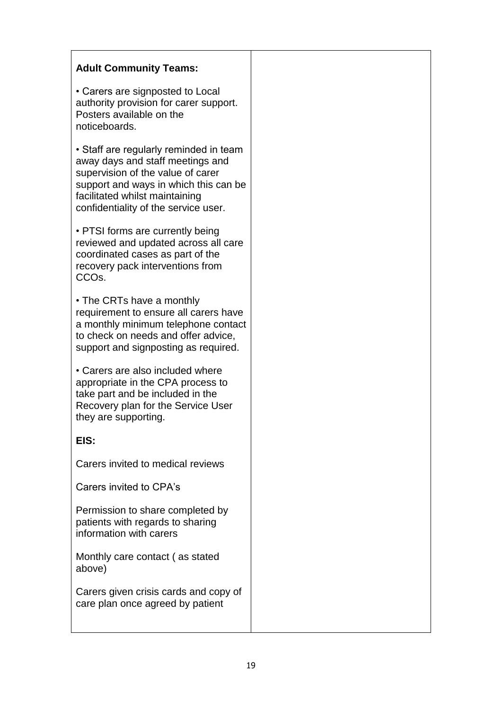| <b>Adult Community Teams:</b>                                                                                                                                                                                                      |  |
|------------------------------------------------------------------------------------------------------------------------------------------------------------------------------------------------------------------------------------|--|
| • Carers are signposted to Local<br>authority provision for carer support.<br>Posters available on the<br>noticeboards.                                                                                                            |  |
| • Staff are regularly reminded in team<br>away days and staff meetings and<br>supervision of the value of carer<br>support and ways in which this can be<br>facilitated whilst maintaining<br>confidentiality of the service user. |  |
| • PTSI forms are currently being<br>reviewed and updated across all care<br>coordinated cases as part of the<br>recovery pack interventions from<br>CCO <sub>s.</sub>                                                              |  |
| • The CRTs have a monthly<br>requirement to ensure all carers have<br>a monthly minimum telephone contact<br>to check on needs and offer advice,<br>support and signposting as required.                                           |  |
| • Carers are also included where<br>appropriate in the CPA process to<br>take part and be included in the<br>Recovery plan for the Service User<br>they are supporting.                                                            |  |
| EIS:                                                                                                                                                                                                                               |  |
| Carers invited to medical reviews                                                                                                                                                                                                  |  |
| Carers invited to CPA's                                                                                                                                                                                                            |  |
| Permission to share completed by<br>patients with regards to sharing<br>information with carers                                                                                                                                    |  |
| Monthly care contact (as stated<br>above)                                                                                                                                                                                          |  |
| Carers given crisis cards and copy of<br>care plan once agreed by patient                                                                                                                                                          |  |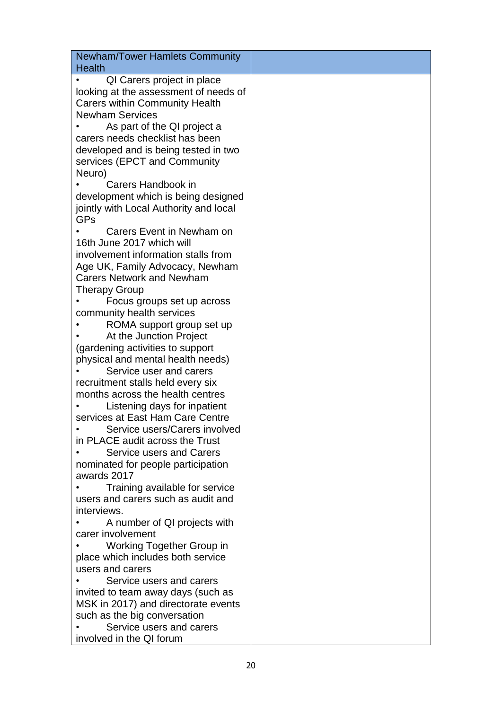| <b>Newham/Tower Hamlets Community</b><br>Health             |
|-------------------------------------------------------------|
| QI Carers project in place                                  |
| looking at the assessment of needs of                       |
| <b>Carers within Community Health</b>                       |
| <b>Newham Services</b>                                      |
| As part of the QI project a                                 |
| carers needs checklist has been                             |
| developed and is being tested in two                        |
| services (EPCT and Community                                |
| Neuro)                                                      |
| Carers Handbook in                                          |
| development which is being designed                         |
| jointly with Local Authority and local                      |
| GPs                                                         |
| Carers Event in Newham on                                   |
| 16th June 2017 which will                                   |
| involvement information stalls from                         |
| Age UK, Family Advocacy, Newham                             |
| <b>Carers Network and Newham</b>                            |
| <b>Therapy Group</b>                                        |
| Focus groups set up across                                  |
| community health services                                   |
| ROMA support group set up                                   |
| At the Junction Project                                     |
| (gardening activities to support                            |
| physical and mental health needs)                           |
| Service user and carers                                     |
| recruitment stalls held every six                           |
| months across the health centres                            |
| Listening days for inpatient                                |
| services at East Ham Care Centre                            |
| Service users/Carers involved                               |
| in PLACE audit across the Trust<br>Service users and Carers |
| nominated for people participation                          |
| awards 2017                                                 |
| Training available for service                              |
| users and carers such as audit and                          |
| interviews.                                                 |
| A number of QI projects with                                |
| carer involvement                                           |
| Working Together Group in                                   |
| place which includes both service                           |
| users and carers                                            |
| Service users and carers                                    |
| invited to team away days (such as                          |
| MSK in 2017) and directorate events                         |
| such as the big conversation                                |
| Service users and carers                                    |
| involved in the QI forum                                    |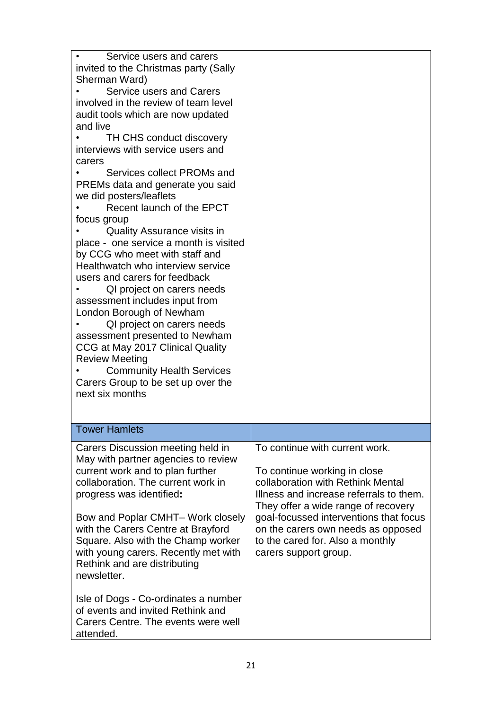| Service users and carers<br>invited to the Christmas party (Sally<br>Sherman Ward)<br>Service users and Carers<br>involved in the review of team level<br>audit tools which are now updated<br>and live<br>TH CHS conduct discovery<br>interviews with service users and<br>carers<br>Services collect PROMs and<br>PREMs data and generate you said<br>we did posters/leaflets<br>Recent launch of the EPCT<br>focus group<br><b>Quality Assurance visits in</b><br>place - one service a month is visited<br>by CCG who meet with staff and<br>Healthwatch who interview service<br>users and carers for feedback<br>QI project on carers needs<br>assessment includes input from<br>London Borough of Newham<br>QI project on carers needs<br>assessment presented to Newham<br>CCG at May 2017 Clinical Quality<br><b>Review Meeting</b><br><b>Community Health Services</b><br>Carers Group to be set up over the<br>next six months |                                                                                                                                                                                                                                                                                                                                    |
|-------------------------------------------------------------------------------------------------------------------------------------------------------------------------------------------------------------------------------------------------------------------------------------------------------------------------------------------------------------------------------------------------------------------------------------------------------------------------------------------------------------------------------------------------------------------------------------------------------------------------------------------------------------------------------------------------------------------------------------------------------------------------------------------------------------------------------------------------------------------------------------------------------------------------------------------|------------------------------------------------------------------------------------------------------------------------------------------------------------------------------------------------------------------------------------------------------------------------------------------------------------------------------------|
| <b>Tower Hamlets</b>                                                                                                                                                                                                                                                                                                                                                                                                                                                                                                                                                                                                                                                                                                                                                                                                                                                                                                                      |                                                                                                                                                                                                                                                                                                                                    |
| Carers Discussion meeting held in<br>May with partner agencies to review<br>current work and to plan further<br>collaboration. The current work in<br>progress was identified:<br>Bow and Poplar CMHT- Work closely<br>with the Carers Centre at Brayford<br>Square. Also with the Champ worker<br>with young carers. Recently met with<br>Rethink and are distributing<br>newsletter.<br>Isle of Dogs - Co-ordinates a number<br>of events and invited Rethink and<br>Carers Centre. The events were well<br>attended.                                                                                                                                                                                                                                                                                                                                                                                                                   | To continue with current work.<br>To continue working in close<br>collaboration with Rethink Mental<br>Illness and increase referrals to them.<br>They offer a wide range of recovery<br>goal-focussed interventions that focus<br>on the carers own needs as opposed<br>to the cared for. Also a monthly<br>carers support group. |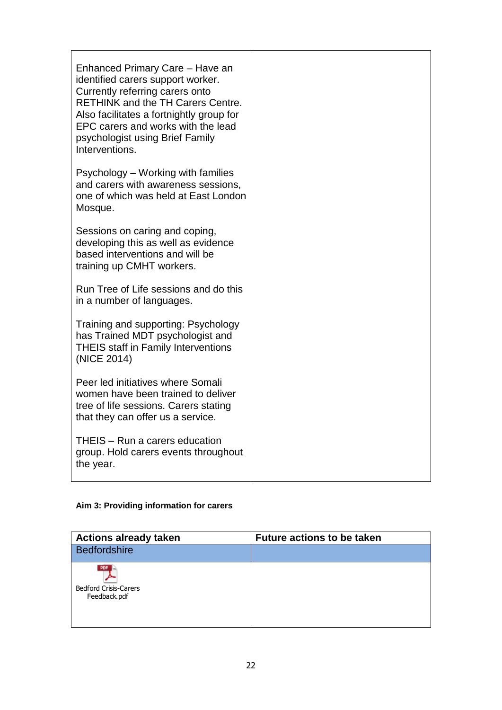| Enhanced Primary Care - Have an<br>identified carers support worker.<br>Currently referring carers onto<br><b>RETHINK and the TH Carers Centre.</b><br>Also facilitates a fortnightly group for<br>EPC carers and works with the lead<br>psychologist using Brief Family<br>Interventions. |  |
|--------------------------------------------------------------------------------------------------------------------------------------------------------------------------------------------------------------------------------------------------------------------------------------------|--|
| Psychology – Working with families<br>and carers with awareness sessions,<br>one of which was held at East London<br>Mosque.                                                                                                                                                               |  |
| Sessions on caring and coping,<br>developing this as well as evidence<br>based interventions and will be<br>training up CMHT workers.                                                                                                                                                      |  |
| Run Tree of Life sessions and do this<br>in a number of languages.                                                                                                                                                                                                                         |  |
| Training and supporting: Psychology<br>has Trained MDT psychologist and<br><b>THEIS staff in Family Interventions</b><br>(NICE 2014)                                                                                                                                                       |  |
| Peer led initiatives where Somali<br>women have been trained to deliver<br>tree of life sessions. Carers stating<br>that they can offer us a service.                                                                                                                                      |  |
| THEIS - Run a carers education<br>group. Hold carers events throughout<br>the year.                                                                                                                                                                                                        |  |

## **Aim 3: Providing information for carers**

| <b>Actions already taken</b>                        | <b>Future actions to be taken</b> |
|-----------------------------------------------------|-----------------------------------|
| <b>Bedfordshire</b>                                 |                                   |
| PDF<br><b>Bedford Crisis-Carers</b><br>Feedback.pdf |                                   |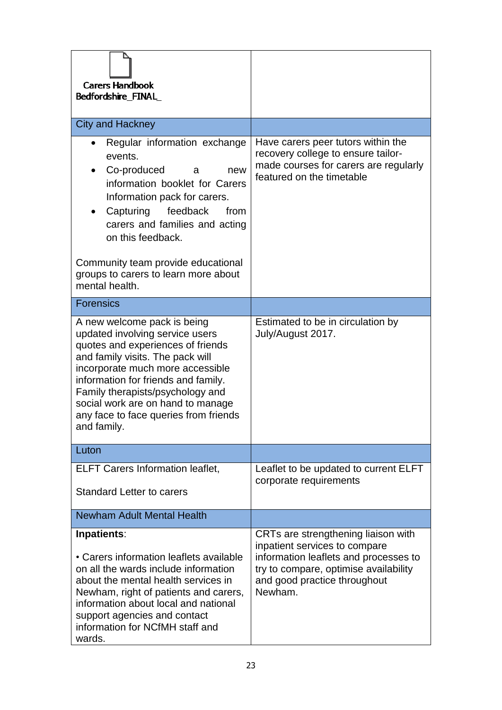| <b>Carers Handbook</b><br>Bedfordshire_FINAL_                                                                                                                                                                                                                                                                                                       |                                                                                                                                                                                                   |
|-----------------------------------------------------------------------------------------------------------------------------------------------------------------------------------------------------------------------------------------------------------------------------------------------------------------------------------------------------|---------------------------------------------------------------------------------------------------------------------------------------------------------------------------------------------------|
| <b>City and Hackney</b>                                                                                                                                                                                                                                                                                                                             |                                                                                                                                                                                                   |
| Regular information exchange<br>events.<br>Co-produced<br>new<br>a<br>information booklet for Carers<br>Information pack for carers.<br>Capturing<br>feedback<br>from<br>carers and families and acting<br>on this feedback.<br>Community team provide educational                                                                                  | Have carers peer tutors within the<br>recovery college to ensure tailor-<br>made courses for carers are regularly<br>featured on the timetable                                                    |
| groups to carers to learn more about<br>mental health.                                                                                                                                                                                                                                                                                              |                                                                                                                                                                                                   |
| <b>Forensics</b>                                                                                                                                                                                                                                                                                                                                    |                                                                                                                                                                                                   |
| A new welcome pack is being<br>updated involving service users<br>quotes and experiences of friends<br>and family visits. The pack will<br>incorporate much more accessible<br>information for friends and family.<br>Family therapists/psychology and<br>social work are on hand to manage<br>any face to face queries from friends<br>and family. | Estimated to be in circulation by<br>July/August 2017.                                                                                                                                            |
| Luton                                                                                                                                                                                                                                                                                                                                               |                                                                                                                                                                                                   |
| <b>ELFT Carers Information leaflet,</b><br><b>Standard Letter to carers</b>                                                                                                                                                                                                                                                                         | Leaflet to be updated to current ELFT<br>corporate requirements                                                                                                                                   |
| <b>Newham Adult Mental Health</b>                                                                                                                                                                                                                                                                                                                   |                                                                                                                                                                                                   |
| Inpatients:<br>• Carers information leaflets available<br>on all the wards include information<br>about the mental health services in<br>Newham, right of patients and carers,<br>information about local and national<br>support agencies and contact<br>information for NCfMH staff and<br>wards.                                                 | CRTs are strengthening liaison with<br>inpatient services to compare<br>information leaflets and processes to<br>try to compare, optimise availability<br>and good practice throughout<br>Newham. |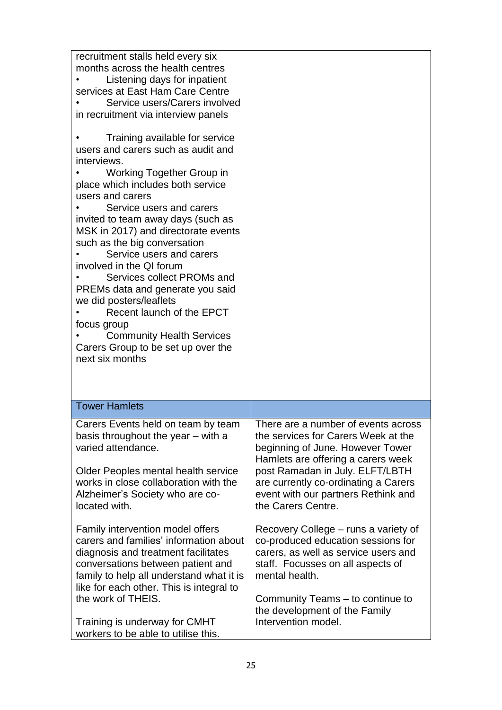| recruitment stalls held every six<br>months across the health centres<br>Listening days for inpatient<br>services at East Ham Care Centre<br>Service users/Carers involved<br>in recruitment via interview panels<br>Training available for service<br>users and carers such as audit and<br>interviews.<br>Working Together Group in<br>place which includes both service<br>users and carers<br>Service users and carers<br>invited to team away days (such as<br>MSK in 2017) and directorate events<br>such as the big conversation<br>Service users and carers<br>involved in the QI forum<br>Services collect PROMs and<br>PREMs data and generate you said<br>we did posters/leaflets<br>Recent launch of the EPCT<br>focus group<br><b>Community Health Services</b><br>Carers Group to be set up over the<br>next six months |                                                                                                                                                                                                                                                                                              |
|---------------------------------------------------------------------------------------------------------------------------------------------------------------------------------------------------------------------------------------------------------------------------------------------------------------------------------------------------------------------------------------------------------------------------------------------------------------------------------------------------------------------------------------------------------------------------------------------------------------------------------------------------------------------------------------------------------------------------------------------------------------------------------------------------------------------------------------|----------------------------------------------------------------------------------------------------------------------------------------------------------------------------------------------------------------------------------------------------------------------------------------------|
| <b>Tower Hamlets</b>                                                                                                                                                                                                                                                                                                                                                                                                                                                                                                                                                                                                                                                                                                                                                                                                                  |                                                                                                                                                                                                                                                                                              |
| Carers Events held on team by team<br>basis throughout the year – with a<br>varied attendance.<br>Older Peoples mental health service<br>works in close collaboration with the<br>Alzheimer's Society who are co-<br>located with.                                                                                                                                                                                                                                                                                                                                                                                                                                                                                                                                                                                                    | There are a number of events across<br>the services for Carers Week at the<br>beginning of June. However Tower<br>Hamlets are offering a carers week<br>post Ramadan in July. ELFT/LBTH<br>are currently co-ordinating a Carers<br>event with our partners Rethink and<br>the Carers Centre. |
| Family intervention model offers<br>carers and families' information about<br>diagnosis and treatment facilitates<br>conversations between patient and<br>family to help all understand what it is<br>like for each other. This is integral to<br>the work of THEIS.<br>Training is underway for CMHT<br>workers to be able to utilise this.                                                                                                                                                                                                                                                                                                                                                                                                                                                                                          | Recovery College – runs a variety of<br>co-produced education sessions for<br>carers, as well as service users and<br>staff. Focusses on all aspects of<br>mental health.<br>Community Teams – to continue to<br>the development of the Family<br>Intervention model.                        |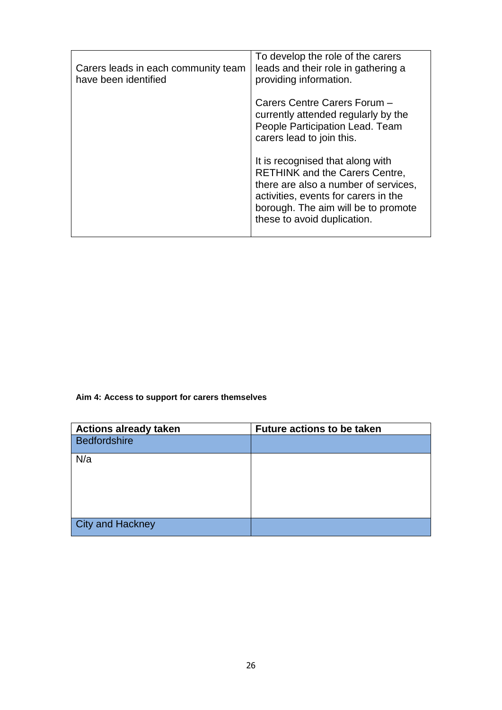| Carers leads in each community team<br>have been identified | To develop the role of the carers<br>leads and their role in gathering a<br>providing information.                                                                                                                              |
|-------------------------------------------------------------|---------------------------------------------------------------------------------------------------------------------------------------------------------------------------------------------------------------------------------|
|                                                             | Carers Centre Carers Forum -<br>currently attended regularly by the<br>People Participation Lead. Team<br>carers lead to join this.                                                                                             |
|                                                             | It is recognised that along with<br><b>RETHINK and the Carers Centre,</b><br>there are also a number of services,<br>activities, events for carers in the<br>borough. The aim will be to promote<br>these to avoid duplication. |

**Aim 4: Access to support for carers themselves**

| <b>Actions already taken</b> | <b>Future actions to be taken</b> |
|------------------------------|-----------------------------------|
| Bedfordshire                 |                                   |
| N/a                          |                                   |
|                              |                                   |
|                              |                                   |
| City and Hackney             |                                   |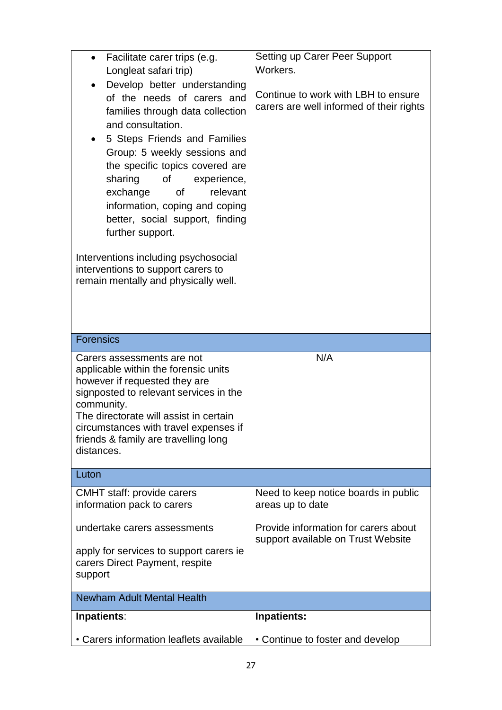| Facilitate carer trips (e.g.<br>Longleat safari trip)<br>Develop better understanding<br>of the needs of carers and<br>families through data collection<br>and consultation.<br>5 Steps Friends and Families<br>Group: 5 weekly sessions and<br>the specific topics covered are<br>sharing<br>οf<br>experience,<br>exchange<br>relevant<br>0f<br>information, coping and coping<br>better, social support, finding<br>further support. | Setting up Carer Peer Support<br>Workers.<br>Continue to work with LBH to ensure<br>carers are well informed of their rights |
|----------------------------------------------------------------------------------------------------------------------------------------------------------------------------------------------------------------------------------------------------------------------------------------------------------------------------------------------------------------------------------------------------------------------------------------|------------------------------------------------------------------------------------------------------------------------------|
| Interventions including psychosocial<br>interventions to support carers to<br>remain mentally and physically well.                                                                                                                                                                                                                                                                                                                     |                                                                                                                              |
| <b>Forensics</b>                                                                                                                                                                                                                                                                                                                                                                                                                       |                                                                                                                              |
| Carers assessments are not<br>applicable within the forensic units<br>however if requested they are<br>signposted to relevant services in the<br>community.<br>The directorate will assist in certain<br>circumstances with travel expenses if<br>friends & family are travelling long<br>distances.                                                                                                                                   | N/A                                                                                                                          |
| Luton                                                                                                                                                                                                                                                                                                                                                                                                                                  |                                                                                                                              |
| <b>CMHT</b> staff: provide carers<br>information pack to carers<br>undertake carers assessments                                                                                                                                                                                                                                                                                                                                        | Need to keep notice boards in public<br>areas up to date<br>Provide information for carers about                             |
| apply for services to support carers ie<br>carers Direct Payment, respite<br>support                                                                                                                                                                                                                                                                                                                                                   | support available on Trust Website                                                                                           |
| <b>Newham Adult Mental Health</b>                                                                                                                                                                                                                                                                                                                                                                                                      |                                                                                                                              |
| Inpatients:                                                                                                                                                                                                                                                                                                                                                                                                                            |                                                                                                                              |
| • Carers information leaflets available                                                                                                                                                                                                                                                                                                                                                                                                | <b>Inpatients:</b><br>• Continue to foster and develop                                                                       |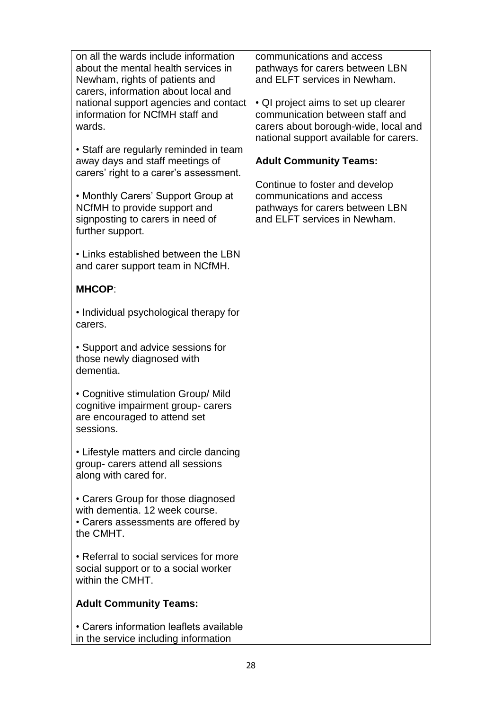| on all the wards include information<br>about the mental health services in<br>Newham, rights of patients and<br>carers, information about local and<br>national support agencies and contact<br>information for NCfMH staff and<br>wards.<br>• Staff are regularly reminded in team<br>away days and staff meetings of<br>carers' right to a carer's assessment.<br>• Monthly Carers' Support Group at<br>NCfMH to provide support and<br>signposting to carers in need of<br>further support. | communications and access<br>pathways for carers between LBN<br>and ELFT services in Newham.<br>• QI project aims to set up clearer<br>communication between staff and<br>carers about borough-wide, local and<br>national support available for carers.<br><b>Adult Community Teams:</b><br>Continue to foster and develop<br>communications and access<br>pathways for carers between LBN<br>and ELFT services in Newham. |
|-------------------------------------------------------------------------------------------------------------------------------------------------------------------------------------------------------------------------------------------------------------------------------------------------------------------------------------------------------------------------------------------------------------------------------------------------------------------------------------------------|-----------------------------------------------------------------------------------------------------------------------------------------------------------------------------------------------------------------------------------------------------------------------------------------------------------------------------------------------------------------------------------------------------------------------------|
| • Links established between the LBN<br>and carer support team in NCfMH.                                                                                                                                                                                                                                                                                                                                                                                                                         |                                                                                                                                                                                                                                                                                                                                                                                                                             |
| <b>MHCOP:</b>                                                                                                                                                                                                                                                                                                                                                                                                                                                                                   |                                                                                                                                                                                                                                                                                                                                                                                                                             |
| • Individual psychological therapy for<br>carers.                                                                                                                                                                                                                                                                                                                                                                                                                                               |                                                                                                                                                                                                                                                                                                                                                                                                                             |
| • Support and advice sessions for<br>those newly diagnosed with<br>dementia.                                                                                                                                                                                                                                                                                                                                                                                                                    |                                                                                                                                                                                                                                                                                                                                                                                                                             |
| • Cognitive stimulation Group/ Mild<br>cognitive impairment group- carers<br>are encouraged to attend set<br>sessions.                                                                                                                                                                                                                                                                                                                                                                          |                                                                                                                                                                                                                                                                                                                                                                                                                             |
| • Lifestyle matters and circle dancing<br>group- carers attend all sessions<br>along with cared for.                                                                                                                                                                                                                                                                                                                                                                                            |                                                                                                                                                                                                                                                                                                                                                                                                                             |
| • Carers Group for those diagnosed<br>with dementia. 12 week course.<br>• Carers assessments are offered by<br>the CMHT.                                                                                                                                                                                                                                                                                                                                                                        |                                                                                                                                                                                                                                                                                                                                                                                                                             |
| • Referral to social services for more<br>social support or to a social worker<br>within the CMHT.                                                                                                                                                                                                                                                                                                                                                                                              |                                                                                                                                                                                                                                                                                                                                                                                                                             |
| <b>Adult Community Teams:</b>                                                                                                                                                                                                                                                                                                                                                                                                                                                                   |                                                                                                                                                                                                                                                                                                                                                                                                                             |
| • Carers information leaflets available<br>in the service including information                                                                                                                                                                                                                                                                                                                                                                                                                 |                                                                                                                                                                                                                                                                                                                                                                                                                             |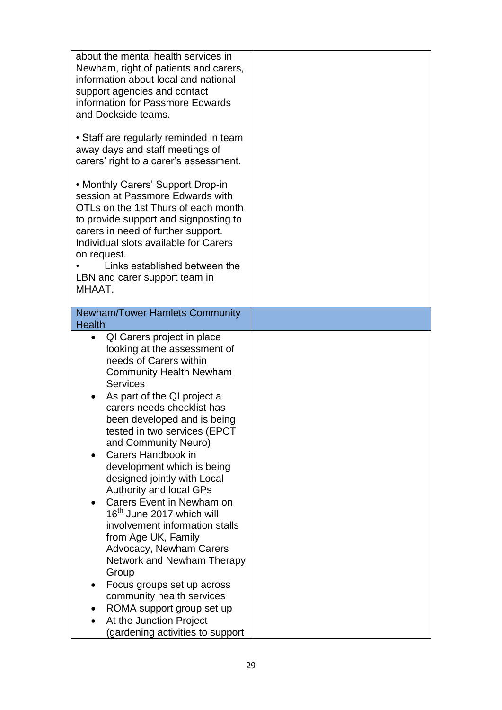| about the mental health services in<br>Newham, right of patients and carers,<br>information about local and national<br>support agencies and contact<br>information for Passmore Edwards<br>and Dockside teams.<br>• Staff are regularly reminded in team<br>away days and staff meetings of<br>carers' right to a carer's assessment.<br>• Monthly Carers' Support Drop-in<br>session at Passmore Edwards with<br>OTLs on the 1st Thurs of each month<br>to provide support and signposting to |  |
|-------------------------------------------------------------------------------------------------------------------------------------------------------------------------------------------------------------------------------------------------------------------------------------------------------------------------------------------------------------------------------------------------------------------------------------------------------------------------------------------------|--|
| carers in need of further support.                                                                                                                                                                                                                                                                                                                                                                                                                                                              |  |
| Individual slots available for Carers                                                                                                                                                                                                                                                                                                                                                                                                                                                           |  |
| on request.                                                                                                                                                                                                                                                                                                                                                                                                                                                                                     |  |
| Links established between the                                                                                                                                                                                                                                                                                                                                                                                                                                                                   |  |
| LBN and carer support team in                                                                                                                                                                                                                                                                                                                                                                                                                                                                   |  |
| MHAAT.                                                                                                                                                                                                                                                                                                                                                                                                                                                                                          |  |
| <b>Newham/Tower Hamlets Community</b>                                                                                                                                                                                                                                                                                                                                                                                                                                                           |  |
| <b>Health</b>                                                                                                                                                                                                                                                                                                                                                                                                                                                                                   |  |
| QI Carers project in place<br>$\bullet$                                                                                                                                                                                                                                                                                                                                                                                                                                                         |  |
| looking at the assessment of                                                                                                                                                                                                                                                                                                                                                                                                                                                                    |  |
| needs of Carers within                                                                                                                                                                                                                                                                                                                                                                                                                                                                          |  |
| <b>Community Health Newham</b>                                                                                                                                                                                                                                                                                                                                                                                                                                                                  |  |
| <b>Services</b>                                                                                                                                                                                                                                                                                                                                                                                                                                                                                 |  |
| As part of the QI project a                                                                                                                                                                                                                                                                                                                                                                                                                                                                     |  |
| carers needs checklist has                                                                                                                                                                                                                                                                                                                                                                                                                                                                      |  |
| been developed and is being                                                                                                                                                                                                                                                                                                                                                                                                                                                                     |  |
| tested in two services (EPCT                                                                                                                                                                                                                                                                                                                                                                                                                                                                    |  |
| and Community Neuro)                                                                                                                                                                                                                                                                                                                                                                                                                                                                            |  |
| Carers Handbook in<br>$\bullet$                                                                                                                                                                                                                                                                                                                                                                                                                                                                 |  |
| development which is being                                                                                                                                                                                                                                                                                                                                                                                                                                                                      |  |
| designed jointly with Local                                                                                                                                                                                                                                                                                                                                                                                                                                                                     |  |
| <b>Authority and local GPs</b>                                                                                                                                                                                                                                                                                                                                                                                                                                                                  |  |
| Carers Event in Newham on                                                                                                                                                                                                                                                                                                                                                                                                                                                                       |  |
| 16 <sup>th</sup> June 2017 which will                                                                                                                                                                                                                                                                                                                                                                                                                                                           |  |
| involvement information stalls                                                                                                                                                                                                                                                                                                                                                                                                                                                                  |  |
| from Age UK, Family                                                                                                                                                                                                                                                                                                                                                                                                                                                                             |  |
| Advocacy, Newham Carers                                                                                                                                                                                                                                                                                                                                                                                                                                                                         |  |
| Network and Newham Therapy                                                                                                                                                                                                                                                                                                                                                                                                                                                                      |  |
| Group                                                                                                                                                                                                                                                                                                                                                                                                                                                                                           |  |
| Focus groups set up across                                                                                                                                                                                                                                                                                                                                                                                                                                                                      |  |
| community health services                                                                                                                                                                                                                                                                                                                                                                                                                                                                       |  |
| ROMA support group set up                                                                                                                                                                                                                                                                                                                                                                                                                                                                       |  |
| At the Junction Project<br>(gardening activities to support                                                                                                                                                                                                                                                                                                                                                                                                                                     |  |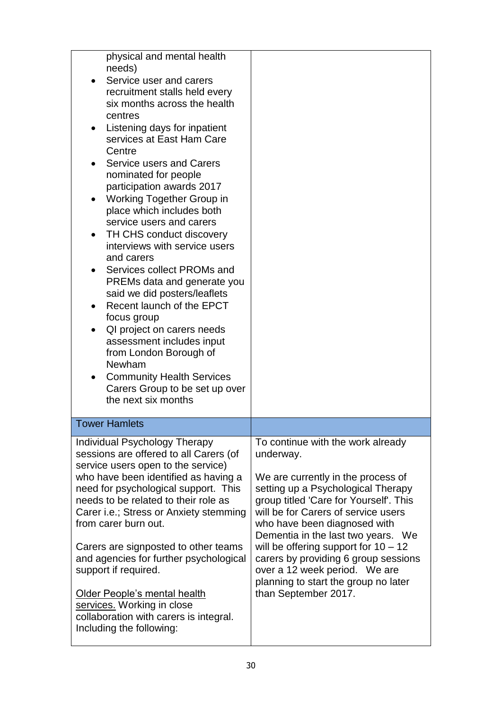| physical and mental health<br>needs)<br>Service user and carers<br>recruitment stalls held every<br>six months across the health<br>centres<br>Listening days for inpatient<br>services at East Ham Care<br>Centre<br>Service users and Carers<br>nominated for people<br>participation awards 2017<br><b>Working Together Group in</b><br>$\bullet$<br>place which includes both<br>service users and carers<br>TH CHS conduct discovery<br>interviews with service users<br>and carers<br>Services collect PROMs and<br>PREMs data and generate you<br>said we did posters/leaflets<br>Recent launch of the EPCT<br>focus group<br>QI project on carers needs<br>assessment includes input<br>from London Borough of<br>Newham<br><b>Community Health Services</b><br>Carers Group to be set up over<br>the next six months |                                                                                                                                                                                                                                                                                                                                                                                                                                                                      |
|-------------------------------------------------------------------------------------------------------------------------------------------------------------------------------------------------------------------------------------------------------------------------------------------------------------------------------------------------------------------------------------------------------------------------------------------------------------------------------------------------------------------------------------------------------------------------------------------------------------------------------------------------------------------------------------------------------------------------------------------------------------------------------------------------------------------------------|----------------------------------------------------------------------------------------------------------------------------------------------------------------------------------------------------------------------------------------------------------------------------------------------------------------------------------------------------------------------------------------------------------------------------------------------------------------------|
| <b>Tower Hamlets</b>                                                                                                                                                                                                                                                                                                                                                                                                                                                                                                                                                                                                                                                                                                                                                                                                          |                                                                                                                                                                                                                                                                                                                                                                                                                                                                      |
| Individual Psychology Therapy<br>sessions are offered to all Carers (of<br>service users open to the service)<br>who have been identified as having a<br>need for psychological support. This<br>needs to be related to their role as<br>Carer i.e.; Stress or Anxiety stemming<br>from carer burn out.<br>Carers are signposted to other teams<br>and agencies for further psychological<br>support if required.<br>Older People's mental health<br>services. Working in close<br>collaboration with carers is integral.<br>Including the following:                                                                                                                                                                                                                                                                         | To continue with the work already<br>underway.<br>We are currently in the process of<br>setting up a Psychological Therapy<br>group titled 'Care for Yourself'. This<br>will be for Carers of service users<br>who have been diagnosed with<br>Dementia in the last two years. We<br>will be offering support for $10 - 12$<br>carers by providing 6 group sessions<br>over a 12 week period. We are<br>planning to start the group no later<br>than September 2017. |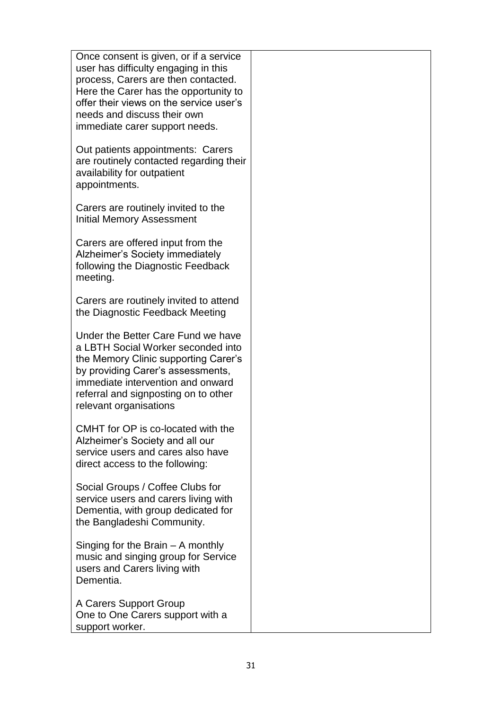Once consent is given, or if a service user has difficulty engaging in this process, Carers are then contacted. Here the Carer has the opportunity to offer their views on the service user's needs and discuss their own immediate carer support needs. Out patients appointments: Carers are routinely contacted regarding their availability for outpatient appointments. Carers are routinely invited to the Initial Memory Assessment

Carers are offered input from the Alzheimer's Society immediately following the Diagnostic Feedback meeting.

Carers are routinely invited to attend the Diagnostic Feedback Meeting

Under the Better Care Fund we have a LBTH Social Worker seconded into the Memory Clinic supporting Carer's by providing Carer's assessments, immediate intervention and onward referral and signposting on to other relevant organisations

CMHT for OP is co-located with the Alzheimer's Society and all our service users and cares also have direct access to the following:

Social Groups / Coffee Clubs for service users and carers living with Dementia, with group dedicated for the Bangladeshi Community.

Singing for the Brain – A monthly music and singing group for Service users and Carers living with Dementia.

A Carers Support Group One to One Carers support with a support worker.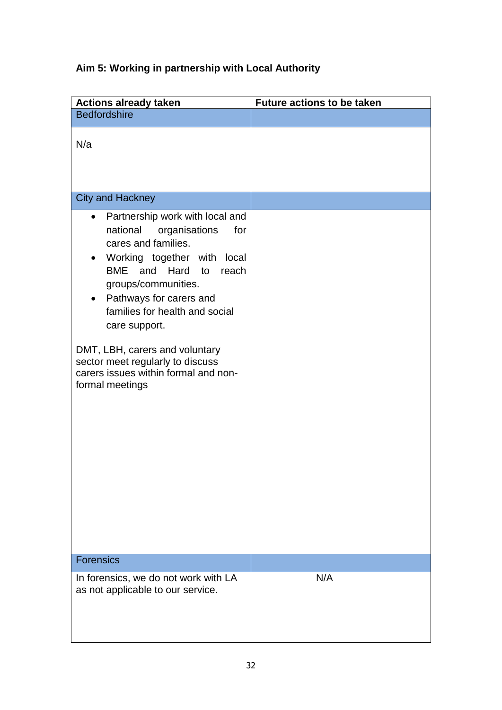# **Aim 5: Working in partnership with Local Authority**

| <b>Actions already taken</b>                                                                                                                                                                                                                                                                                                                                                                             | <b>Future actions to be taken</b> |
|----------------------------------------------------------------------------------------------------------------------------------------------------------------------------------------------------------------------------------------------------------------------------------------------------------------------------------------------------------------------------------------------------------|-----------------------------------|
| <b>Bedfordshire</b>                                                                                                                                                                                                                                                                                                                                                                                      |                                   |
| N/a                                                                                                                                                                                                                                                                                                                                                                                                      |                                   |
| <b>City and Hackney</b>                                                                                                                                                                                                                                                                                                                                                                                  |                                   |
| Partnership work with local and<br>national<br>organisations<br>for<br>cares and families.<br>Working together with local<br>BME and Hard to<br>reach<br>groups/communities.<br>Pathways for carers and<br>$\bullet$<br>families for health and social<br>care support.<br>DMT, LBH, carers and voluntary<br>sector meet regularly to discuss<br>carers issues within formal and non-<br>formal meetings |                                   |
| <b>Forensics</b>                                                                                                                                                                                                                                                                                                                                                                                         |                                   |
| In forensics, we do not work with LA<br>as not applicable to our service.                                                                                                                                                                                                                                                                                                                                | N/A                               |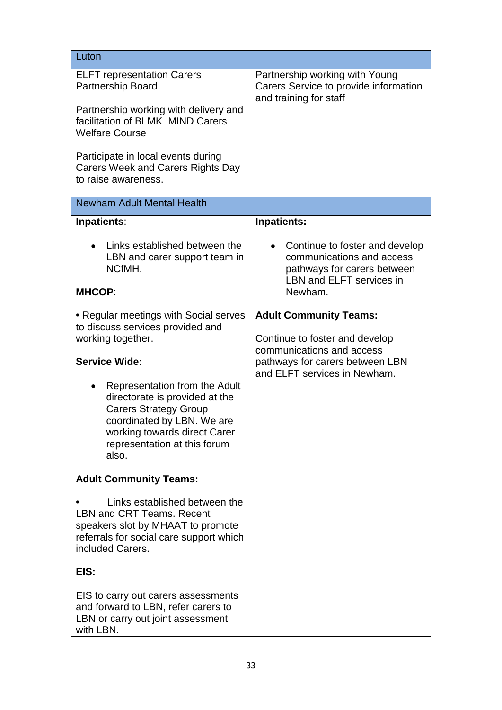| Luton                                                                                                                                                                                                  |                                                                                                                               |
|--------------------------------------------------------------------------------------------------------------------------------------------------------------------------------------------------------|-------------------------------------------------------------------------------------------------------------------------------|
| <b>ELFT</b> representation Carers<br>Partnership Board                                                                                                                                                 | Partnership working with Young<br>Carers Service to provide information<br>and training for staff                             |
| Partnership working with delivery and<br>facilitation of BLMK MIND Carers<br><b>Welfare Course</b>                                                                                                     |                                                                                                                               |
| Participate in local events during<br><b>Carers Week and Carers Rights Day</b><br>to raise awareness.                                                                                                  |                                                                                                                               |
| <b>Newham Adult Mental Health</b>                                                                                                                                                                      |                                                                                                                               |
| Inpatients:                                                                                                                                                                                            | Inpatients:                                                                                                                   |
| Links established between the<br>LBN and carer support team in<br>NCfMH.                                                                                                                               | Continue to foster and develop<br>communications and access<br>pathways for carers between<br><b>LBN and ELFT services in</b> |
| <b>MHCOP:</b>                                                                                                                                                                                          | Newham.                                                                                                                       |
| • Regular meetings with Social serves<br>to discuss services provided and<br>working together.                                                                                                         | <b>Adult Community Teams:</b><br>Continue to foster and develop<br>communications and access                                  |
| <b>Service Wide:</b>                                                                                                                                                                                   | pathways for carers between LBN<br>and ELFT services in Newham.                                                               |
| Representation from the Adult<br>directorate is provided at the<br><b>Carers Strategy Group</b><br>coordinated by LBN. We are<br>working towards direct Carer<br>representation at this forum<br>also. |                                                                                                                               |
| <b>Adult Community Teams:</b>                                                                                                                                                                          |                                                                                                                               |
| Links established between the<br><b>LBN and CRT Teams, Recent</b><br>speakers slot by MHAAT to promote<br>referrals for social care support which<br>included Carers.                                  |                                                                                                                               |
| EIS:                                                                                                                                                                                                   |                                                                                                                               |
| EIS to carry out carers assessments<br>and forward to LBN, refer carers to<br>LBN or carry out joint assessment<br>with LBN.                                                                           |                                                                                                                               |